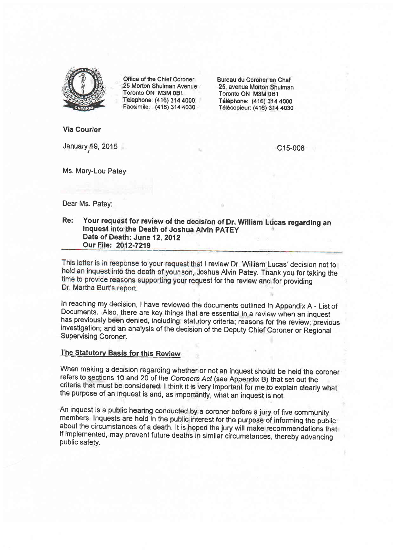

Office of the Chief Coroner 25 Morton Shulman Avenue Toronto ON M3M 081 Telephone: (416) 314 4000 Facsimile: (416) 314 4030

Bureau du Coroner en Chef 25, avenue Morton Shulman Toronto ON M3M 0Bl T6l6phone: (416) 314 4000 Télécopieur: (416) 314 4030

Via Gourier

January 49,2015

c15-008

Ms. Mary-Lou Patey

Dear Ms. Patey:

# Re: Your request for review of the decision of Dr. William Lucas regarding an Inquest into the Death of Joshua Alvin pATEy Date of Death: June 12, 2012 Our File: 2012-7219

This letter is in response to your request that I review Dr. William Lucas' decision not to hold an inquest into the death of your son, Joshua Alvin Patey. Thank you for taking the time to provide reasons supporting your request for the review and for providing Dr. Martha Burt's report.

ln reaching my decision, I have reviewed the documents ouflined in Appendix A - List of Documents. Also, there are key things that are essential in a review when an inquest has previously been denied, including: statutory criteria; reasons for the review; previous investigation; and an analysis of the decision of the Deputy Chief Coroner or Regional Supervising Coroner.

# The Statutory Basis for this Review

When making a decision regarding whether or not an inquest should be held the coroner refers to sections 10 and 20 of the Coroners Acf (see Appendix B) that set out the criteria that must be considered. I think it is very important for me to explain clearly what the purpose of an inquest is and, as importantly, what an inquest is not.

An inquest is a public hearing conducted by a coroner before a jury of five community members. Inquests are held in the public interest for the purpose of informing the public<br>about the circumstances of a death. It is hoped the jury will make recommendations that if implemented, may prevent future deaths in similar circumstances, thereby advancing<br>public safety.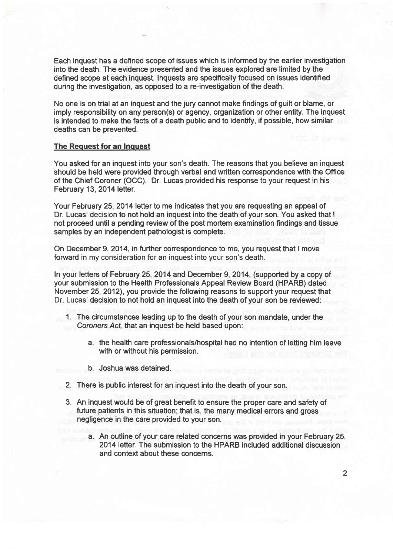Each inquest has a deftned scope of issues which is informed by the earlier investigation into the death. The evidence presented and the issues explored are limited by the defined scope at each inquest. Inquests are specifically focused on issues identified during the investigation, as opposed to a re-investigation of the death.

No one is on trial at an inquest and the jury cannot make findings of guilt or blame, or imply responsibility on any person(s) or agency, organization or other entity. The inquest is intended to make the facts of a death public and to identify, if possible, how similar deaths can be prevented.

# The Request for an Inquest

You asked for an inquest into your son's death. The reasons that you believe an inquest should be held were provided through verbal and written correspondence with the Office of the Chief Coroner (OCC). Dr. Lucas provided his response to your request in his February 13, 2014 letter.

Your February 25, 2014 letter to me indicates that you are requesting an appeal of Dr. Lucas' decision to not hold an inquest into the death of your son. You asked that <sup>I</sup> not proceed until a pending review of the post mortem examination findings and tissue samples by an independent pathologist is complete.

On December 9, 2014, in further correspondence to me, you request that I move forward in my consideration for an inquest into your son's death.

In your letters of February 25,2014 and December 9, 2014, (supported by a copy of your submission to the Health Professionals Appeal Review Board (HPARB) dated November 25,2012), you provide the following reasons to support your request that Dr. Lucas' decision to not hold an inquest into the death of your son be reviewed:

- <sup>1</sup>. The circumstances leading up to the death of your son mandate, under the Coroners Act, that an inquest be held based upon:
	- a. the health care professionals/hospital had no intention of lefting him leave with or without his permission.
	- b. Joshua was detained.
- 2. There is public interest for an inquest into the death of your son.
- 3. An inquest would be of great benefit to ensure the proper care and safety of future patients in this situation; that is, the many medical errors and gross negligence in the care provided to your son.
	- a. An outline of your care related concerns was provided in your February 25, 2014 lefter. The submission to the HPARB included additional discussion and context about these concerns.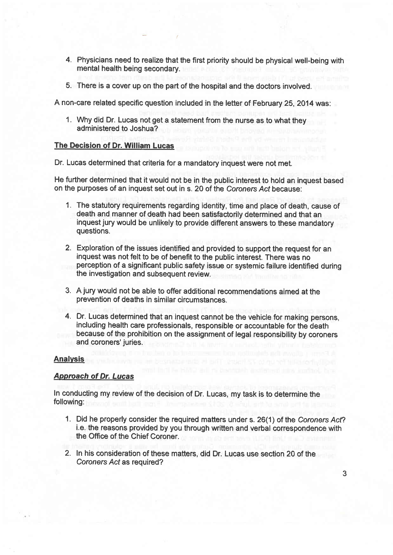- 4. Physicians need to realize that the first priority should be physical well-being with mental health being secondary.
- 5. There is a cover up on the part of the hospital and the doctors involved.

A non-care related specific question included in the letter of February 25, 2014 was:

1. Why did Dr. Lucas not get a statement from the nurse as to what they administered to Joshua?

# The Decision of Dr. William Lucas

Dr. Lucas determined that criteria for a mandatory inquest were not met.

He further determined that it would not be in the public interest to hold an inquest based on the purposes of an inquest set out in s. 20 of the Coroners Act because:

- 1. The statutory requirements regarding identity, time and place of death, cause of death and manner of death had been satisfactorily determined and that an inquest jury would be unlikely to provide different answers to these mandatory questions.
- 2. Exploration of the issues identified and provided to support the request for an inquest was not felt to be of benefit to the public interest. There was no perception of a significant public safety issue or systemic failure identified during the investigation and subsequent review.
- 3. A jury would not be able to offer additional recommendations aimed at the prevention of deaths in similar circumstances.
- 4. Dr. Lucas determined that an inquest cannot be the vehicle for making persons, including health care professionals, responsible or accountable for the death because of the prohibition on the assignment of legal responsibility by coroners and coroners' juries.

# Analvsis

# Approach of Dr. Lucas

In conducting my review of the decision of Dr. Lucas, my task is to determine the following:

- 1. Did he properly consider the required matters under s. 26(1) of the Coroners Act? i.e. the reasons provided by you through written and verbal correspondence with the Office of the Chief Coroner.
- 2. In his consideration of these matters, did Dr. Lucas use section 20 of the Coroners Acf as required?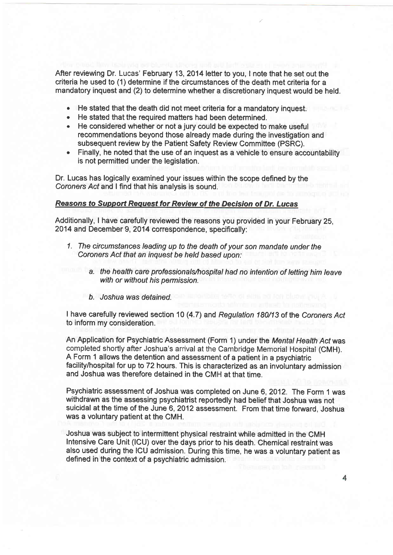After reviewing Dr. Lucas' February 13,2014letter to you, I note that he set out the criteria he used to (1) determine if the circumstances of the death met criteria for a mandatory inquest and (2) to determine whether a discretionary inquest would be held.

- . He stated that the death did not meet criteria for a mandatory inquest.
- . He stated that the required matters had been determined.
- . He considered whether or not a jury could be expected to make useful recommendations beyond those already made during the investigation and subsequent review by the Patient Safety Review Committee (PSRC).
- . Finally, he noted that the use of an inquest as a vehicle to ensure accountability is not permitted under the legislation.

Dr. Lucas has logically examined your issues within the scope defined by the Coroners Acf and | find that his analysis is sound.

#### Reasons to Supporf Request for Reyiew of the Decision of Dr. Lucas

Additionally, I have carefully reviewed the reasons you provided in your February 25, 2014 and December 9,2014 correspondence, specifically:

- <sup>1</sup>. The circumsfances leading up to the death of your son mandate under the Coroners Act that an inquest be held based upon:
	- a. the health care professionals/hospital had no intention of letting him leave with or without his permission.
	- b. Joshua was detained.

I have carefully reviewed section 10 (4.7) and Regulation 180/13 of the Coroners Act to inform my consideration.

An Application for Psychiatric Assessment (Form 1) under the Mental Health Acf was completed shortly after Joshua's arrival at the Cambridge Memorial Hospital (CMH). A Form 1 allows the detention and assessment of a patient in a psychiatric facility/hospital for up to 72 hours. This is characterized as an involuntary admission and Joshua was therefore detained in the CMH at that time.

Psychiatric assessment of Joshua was completed on June 6, 2012. The Form 1 was withdrawn as the assessing psychiatrist reportedly had belief that Joshua was not suicidal at the time of the June 6,2012 assessment. From that time forward. Joshua was a voluntary patient at the CMH.

Joshua was subject to intermittent physical restraint while admifted in the CMH Intensive Care Unit (lCU) over the days prior to his death. Chemical restraint was also used during the ICU admission. During this time, he was a voluntary patient as defined in the context of a psychiatric admission.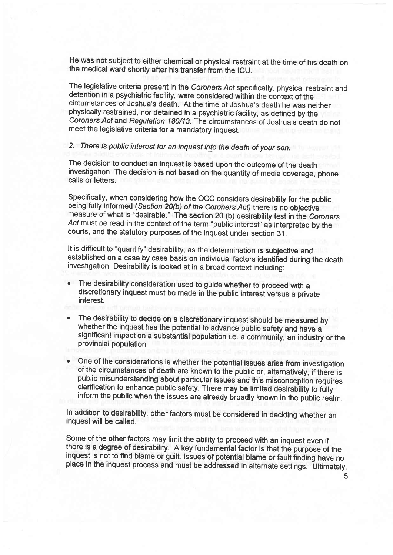He was not subject to either chemical or physical restraint at the time of his death on the medical ward shortly after his transfer from the lCU.

The legislative criteria present in the Coroners Act specifically, physical restraint and detention in a psychiatric facility, were considered within the context of the circumstances of Joshua's death. At the time of Joshua's death he was neither physically restrained, nor detained in a psychiatric facility, as defined by the Coroners Act and Regulation 180/13. The circumstances of Joshua's death do not meet the legislative criteria for a mandatory inquest.

2. There is public interest for an inquest inlo the death of your son.

The decision to conduct an inquest is based upon the outcome of the death investigation. The decision is not based on the quantity of media coverage, phone calls or letters.

Specifically, when considering how the OCC considers desirability for the public being fully informed (Section 20(b) of the Coroners Act) there is no objective measure of what is "desirable." The section 20 (b) desirability test in the Coroners Act must be read in the context of the term "public interest" as interpreted by the courts, and the statutory purposes of the inquest under section 31.

It is difficult to "quantify" desirability, as the determination is subjective and established on a case by case basis on individual factors identified during the death investigation. Desirability is looked at in a broad context including:

- The desirability consideration used to guide whether to proceed with a discretionary inquest must be made in the public interest versus a private interest.
- The desirability to decide on a discretionary inquest should be measured by whether the inquest has the potential to advance public safety and have <sup>a</sup> significant impact on a substantial population i.e. a community, an industry or the provincial population.
- One of the considerations is whether the potential issues arise from investigation of the circumstances of death are known to the public or, alternatively, if there is public misunderstanding about particular issues and this misconception requires clarification to enhance public safety. There may be limited desirability to fully inform the public when the issues are already broadly known in the public realm.

In addition to desirability, other factors must be considered in deciding whether an inquest will be called.

Some of the other factors may limit the ability to proceed with an inquest even if there is a degree of desirability. A key fundamental factor is that the purpose of the inquest is not to find blame or guilt. Issues of potential blame or fault finding have no place in the inquest process and must be addressed in alternate settings. Ultimately,

5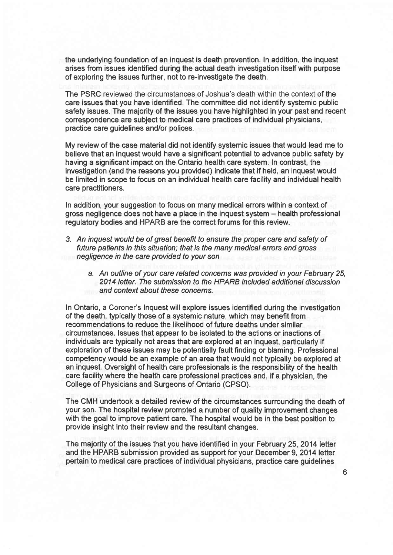the underlying foundation of an inquest is death prevention. In addition, the inquest arises from issues identified during the actual death investigation itself with purpose of exploring the issues further, not to re-investigate the death.

The PSRC reviewed the circumstances of Joshua's death within the context of the care issues that you have identified. The committee did not identify systemic public safety issues. The majority of the issues you have highlighted in your past and recent correspondence are subject to medical care practices of individual physicians, practice care guidelines and/or polices.

My review of the case material did not identify systemic issues that would lead me to believe that an inquest would have a significant potential to advance public safety by having a significant impact on the Ontario health care system. In contrast, the investigation (and the reasons you provided) indicate that if held, an inquest would be limited in scope to focus on an individual health care facility and individual health care practitioners.

In addition, your suggestion to focus on many medical errors within a context of gross negligence does not have a place in the inquest system - health professional regulatory bodies and HPARB are the correct forums for this review.

- 3. An inquest would be of great benefit to ensure the proper care and safety of future patients in this situation; that is the many medical errors and gross negligence in the care provided to your son
	- a. An outline of your care related concems was provided in your February 25, 2014 letter. The submission to the HPARB included additional discussion and context about fhese concems.

In Ontario, a Coroner's Inquest will explore issues identified during the investigation of the death, typically those of a systemic nature, which may benefit from recommendations to reduce the likelihood of future deaths under similar circumstances. lssues that appear to be isolated to the actions or inactions of individuals are typically not areas that are explored at an inquest, particularly if exploration of these issues may be potentially fault finding or blaming. Professional competency would be an example of an area that would not typically be explored at an inquest. Oversight of health care professionals is the responsibility of the health care facility where the health care professional practices and, if a physician, the College of Physicians and Surgeons of Ontario (CPSO).

The CMH undertook a detailed review of the circumstances surrounding the death of your son. The hospital review prompted a number of quality improvement changes with the goal to improve patient care. The hospital would be in the best position to provide insight into their review and the resultant changes.

The majority of the issues that you have identified in your February 25,2014 letter and the HPARB submission provided as support for your December 9, 2014 letter pertain to medical care practices of individual physicians, practice care guidelines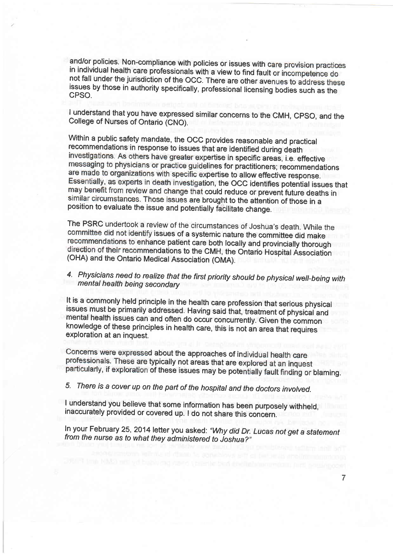and/or policies. Non-compliance with policies or issues with care provision practices in individual health care professionals with a view to find fault not fall under the jurisdiction of the OCC. There are other avenues to address these issues by those in authority specifically, professional licensing bodies such as the CPSO.

I understand that you have expressed similar concerns to the CMH, CPSO, and the College of Nurses of Ontario (CNO).

Within a public safety mandate, the OCC provides reasonable and practical recommendations in response to issues that are identified during death investigations. As others have greater expertise in specific areas, i.e. effective messaging to physicians or practice guidelines for practitioners; recommendations are made to organizations with specific expertise to allow effective response. Essentially, as experts in death investigation, the OCC identifies potential issues that may benefit from review and change that could reduce or prevent future deaths in similar circumstances. Those issues are brought to the attention of those in a position to evaluate the issue and potentially ficilitate change.

The PSRC undertook a review of the circumstances of Joshua's death. While the committee did not identify issues of a systemic nature the committee did make recommendations to enhance patient care both locally and provincially thorough direction of their recommendations to the CMH, the Ontario Hospital Association (OHA) and the Ontario Medical Association (OMA).

# 4. Physicians need to realize that the first priority should be physical well-being with mental health being secondary

It is a commonly held principle in the health care profession that serious physical issues must be primarily addressed. Having said that, treatment of physical and mental health issues can and often do occur concurrently. knowledge of these principles in health care, this is not an area that requires exploration at an inquest.

Concerns were expressed about the approaches of individual health care professionals. These are typically not areas that are explored at an inquest particularly, if exploration of these issues may be potentially fault finding or blaming.

# 5. There is a cover up on the part of the hospitat and the docfors involved.

<sup>I</sup>understand you believe that some information has been purposely withheld, inaccurately provided or covered up. I do not share this concern.

In your February 25, 2014 letter you asked: "Why did Dr. Lucas not get a statement from the nurse as to what they administered to Joshua?"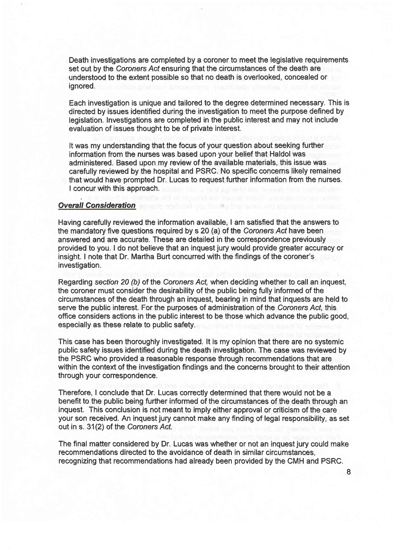Death investigations are completed by a coroner to meet the legislative requirements set out by the Coroners Act ensuring that the circumstances of the death are understood to the extent possible so that no death is overlooked, concealed or ignored.

Each investigation is unique and tailored to the degree determined necessary. This is directed by issues identified during the investigation to meet the purpose defined by legislation. Investigations are completed in the public interest and may not include evaluation of issues thought to be of private interest.

It was my understanding that the focus of your question about seeking further information from the nurses was based upon your belief that Haldol was administered. Based upon my review of the available materials, this issue was carefully reviewed by the hospital and PSRC. No specific concems likely remained that would have prompted Dr. Lucas to request further information from the nurses. I concur with this approach.

# **Overall Consideration**

Having carefully reviewed the information available, I am satisfied that the answers to the mandatory five questions required by s 20 (a) of the Coroners Acf have been answered and are accurate. These are detailed in the correspondence previously provided to you. I do not believe that an inquest jury would provide greater accuracy or insight. I note that Dr. Martha Burt concurred with the findings of the coroner's investigation.

Regarding section 20 (b) of the Coroners Act, when deciding whether to call an inquest, the coroner must consider the desirability of the public being fully informed of the circumstances of the death through an inquest, bearing in mind that inquests are held to serve the public interest. For the purposes of administration of the Coroners Act, this office considers actions in the public interest to be those which advance the public good, especially as these relate to public safety.

This case has been thoroughly investigated. lt is my opinion that there are no systemic public safety issues identified during the death investigation. The case was reviewed by the PSRC who provided a reasonable response through recommendations that are within the context of the investigation findings and the concerns brought to their attention through your correspondence.

Therefore, I conclude that Dr. Lucas correctly determined that there would not be a benefit to the public being further informed of the circumstances of the death through an inquest. This conclusion is not meant to imply either approval or criticism of the care your son received. An inquest jury cannot make any finding of legal responsibility, as set out in s. 31(2) of the Coroners Act.

The final matter considered by Dr. Lucas was whether or not an inquest jury could make recommendations directed to the avoidance of death in similar circumstances, recognizing that recommendations had already been provided by the CMH and PSRC.